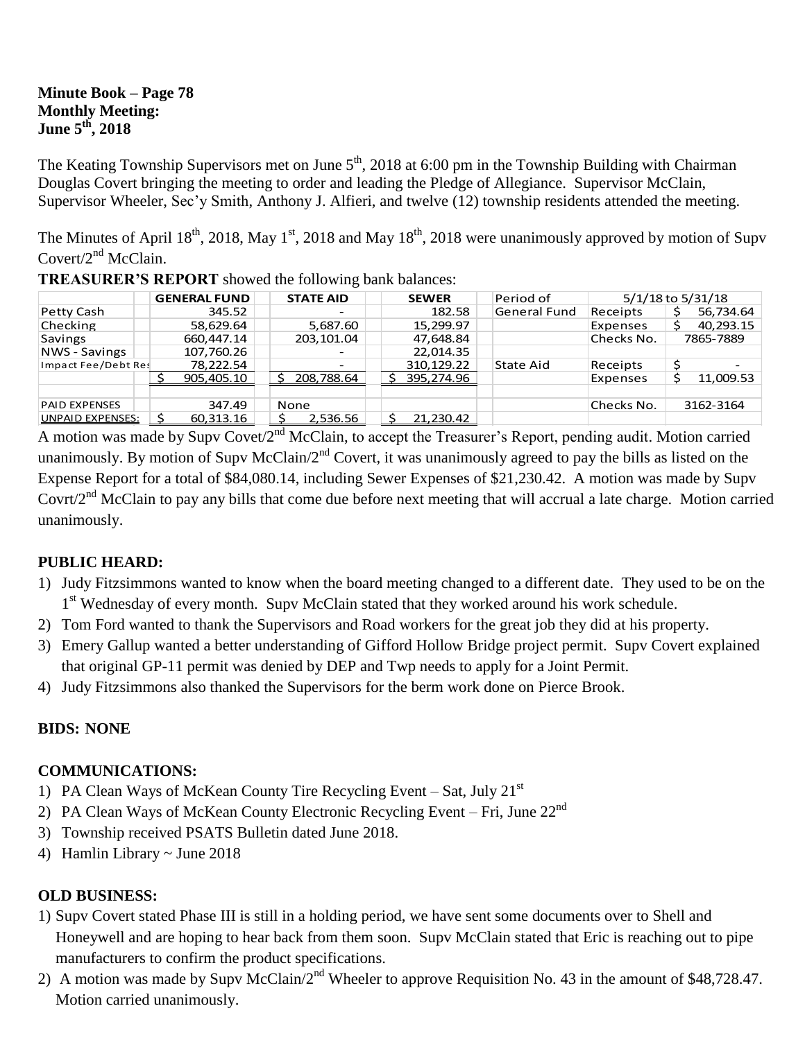### **Minute Book – Page 78 Monthly Meeting: June 5th, 2018**

The Keating Township Supervisors met on June  $5<sup>th</sup>$ , 2018 at 6:00 pm in the Township Building with Chairman Douglas Covert bringing the meeting to order and leading the Pledge of Allegiance. Supervisor McClain, Supervisor Wheeler, Sec'y Smith, Anthony J. Alfieri, and twelve (12) township residents attended the meeting.

The Minutes of April 18<sup>th</sup>, 2018, May 1<sup>st</sup>, 2018 and May 18<sup>th</sup>, 2018 were unanimously approved by motion of Supv Covert/2<sup>nd</sup> McClain.

|                      | <b>GENERAL FUND</b> | <b>STATE AID</b>         | <b>SEWER</b> | Period of           | 5/1/18 to 5/31/18 |           |
|----------------------|---------------------|--------------------------|--------------|---------------------|-------------------|-----------|
| Petty Cash           | 345.52              |                          | 182.58       | <b>General Fund</b> | Receipts          | 56,734.64 |
| Checking             | 58,629.64           | 5,687.60                 | 15,299.97    |                     | Expenses          | 40,293.15 |
| <b>Savings</b>       | 660,447.14          | 203,101.04               | 47,648.84    |                     | Checks No.        | 7865-7889 |
| NWS - Savings        | 107,760.26          | $\overline{\phantom{0}}$ | 22.014.35    |                     |                   |           |
| Impact Fee/Debt Res  | 78,222.54           | $\overline{\phantom{0}}$ | 310.129.22   | State Aid           | Receipts          |           |
|                      | 905,405.10          | 208,788.64               | 395,274.96   |                     | Expenses          | 11,009.53 |
|                      |                     |                          |              |                     |                   |           |
| <b>PAID EXPENSES</b> | 347.49              | None                     |              |                     | Checks No.        | 3162-3164 |
| UNPAID EXPENSES:     | 60,313.16           | 2,536.56                 | 21,230.42    |                     |                   |           |

**TREASURER'S REPORT** showed the following bank balances:

A motion was made by Supv Covet/2<sup>nd</sup> McClain, to accept the Treasurer's Report, pending audit. Motion carried unanimously. By motion of Supv McClain/2<sup>nd</sup> Covert, it was unanimously agreed to pay the bills as listed on the Expense Report for a total of \$84,080.14, including Sewer Expenses of \$21,230.42. A motion was made by Supv Covrt/ $2<sup>nd</sup>$  McClain to pay any bills that come due before next meeting that will accrual a late charge. Motion carried unanimously.

### **PUBLIC HEARD:**

- 1) Judy Fitzsimmons wanted to know when the board meeting changed to a different date. They used to be on the 1<sup>st</sup> Wednesday of every month. Supv McClain stated that they worked around his work schedule.
- 2) Tom Ford wanted to thank the Supervisors and Road workers for the great job they did at his property.
- 3) Emery Gallup wanted a better understanding of Gifford Hollow Bridge project permit. Supv Covert explained that original GP-11 permit was denied by DEP and Twp needs to apply for a Joint Permit.
- 4) Judy Fitzsimmons also thanked the Supervisors for the berm work done on Pierce Brook.

# **BIDS: NONE**

### **COMMUNICATIONS:**

- 1) PA Clean Ways of McKean County Tire Recycling Event Sat, July 21<sup>st</sup>
- 2) PA Clean Ways of McKean County Electronic Recycling Event Fri, June 22<sup>nd</sup>
- 3) Township received PSATS Bulletin dated June 2018.
- 4) Hamlin Library ~ June 2018

### **OLD BUSINESS:**

- 1) Supv Covert stated Phase III is still in a holding period, we have sent some documents over to Shell and Honeywell and are hoping to hear back from them soon. Supv McClain stated that Eric is reaching out to pipe manufacturers to confirm the product specifications.
- 2) A motion was made by Supv McClain/2<sup>nd</sup> Wheeler to approve Requisition No. 43 in the amount of \$48,728.47. Motion carried unanimously.